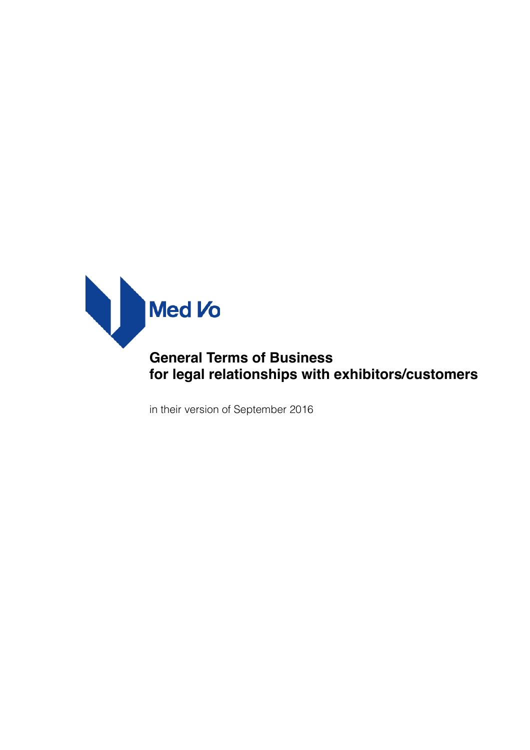

# **General Terms of Business for legal relationships with exhibitors/customers**

in their version of September 2016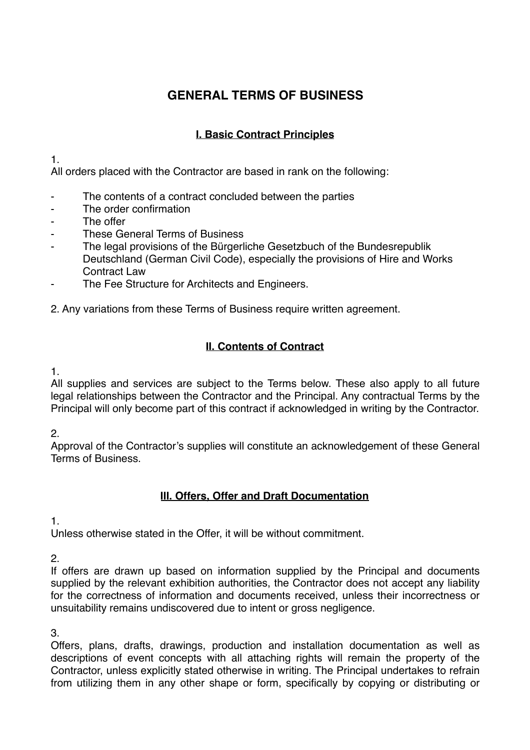## **GENERAL TERMS OF BUSINESS**

## **I. Basic Contract Principles**

1.

All orders placed with the Contractor are based in rank on the following:

- The contents of a contract concluded between the parties
- The order confirmation
- The offer
- These General Terms of Business
- The legal provisions of the Bürgerliche Gesetzbuch of the Bundesrepublik Deutschland (German Civil Code), especially the provisions of Hire and Works Contract Law
- The Fee Structure for Architects and Engineers.

2. Any variations from these Terms of Business require written agreement.

## **II. Contents of Contract**

1.

All supplies and services are subject to the Terms below. These also apply to all future legal relationships between the Contractor and the Principal. Any contractual Terms by the Principal will only become part of this contract if acknowledged in writing by the Contractor.

2.

Approval of the Contractor's supplies will constitute an acknowledgement of these General Terms of Business.

#### **III. Offers, Offer and Draft Documentation**

1.

Unless otherwise stated in the Offer, it will be without commitment.

2.

If offers are drawn up based on information supplied by the Principal and documents supplied by the relevant exhibition authorities, the Contractor does not accept any liability for the correctness of information and documents received, unless their incorrectness or unsuitability remains undiscovered due to intent or gross negligence.

3.

Offers, plans, drafts, drawings, production and installation documentation as well as descriptions of event concepts with all attaching rights will remain the property of the Contractor, unless explicitly stated otherwise in writing. The Principal undertakes to refrain from utilizing them in any other shape or form, specifically by copying or distributing or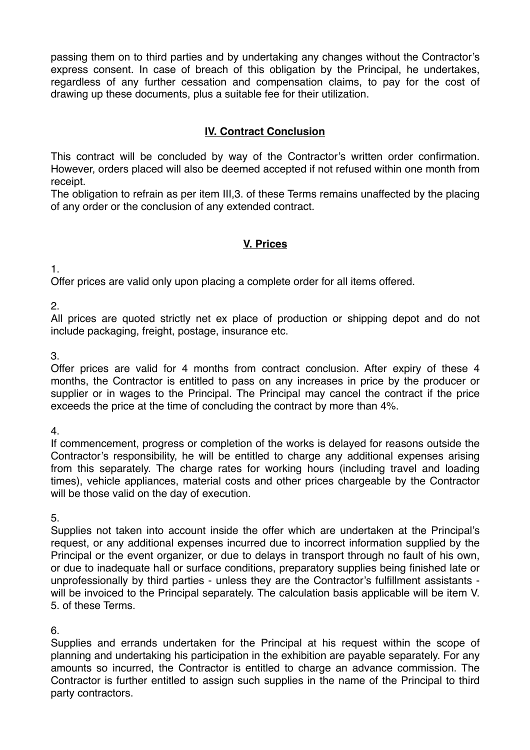passing them on to third parties and by undertaking any changes without the Contractor's express consent. In case of breach of this obligation by the Principal, he undertakes, regardless of any further cessation and compensation claims, to pay for the cost of drawing up these documents, plus a suitable fee for their utilization.

## **IV. Contract Conclusion**

This contract will be concluded by way of the Contractor's written order confirmation. However, orders placed will also be deemed accepted if not refused within one month from receipt.

The obligation to refrain as per item III,3. of these Terms remains unaffected by the placing of any order or the conclusion of any extended contract.

#### **V. Prices**

1.

Offer prices are valid only upon placing a complete order for all items offered.

2.

All prices are quoted strictly net ex place of production or shipping depot and do not include packaging, freight, postage, insurance etc.

3.

Offer prices are valid for 4 months from contract conclusion. After expiry of these 4 months, the Contractor is entitled to pass on any increases in price by the producer or supplier or in wages to the Principal. The Principal may cancel the contract if the price exceeds the price at the time of concluding the contract by more than 4%.

4.

If commencement, progress or completion of the works is delayed for reasons outside the Contractor's responsibility, he will be entitled to charge any additional expenses arising from this separately. The charge rates for working hours (including travel and loading times), vehicle appliances, material costs and other prices chargeable by the Contractor will be those valid on the day of execution.

5.

Supplies not taken into account inside the offer which are undertaken at the Principal's request, or any additional expenses incurred due to incorrect information supplied by the Principal or the event organizer, or due to delays in transport through no fault of his own, or due to inadequate hall or surface conditions, preparatory supplies being finished late or unprofessionally by third parties - unless they are the Contractor's fulfillment assistants will be invoiced to the Principal separately. The calculation basis applicable will be item V. 5. of these Terms.

6.

Supplies and errands undertaken for the Principal at his request within the scope of planning and undertaking his participation in the exhibition are payable separately. For any amounts so incurred, the Contractor is entitled to charge an advance commission. The Contractor is further entitled to assign such supplies in the name of the Principal to third party contractors.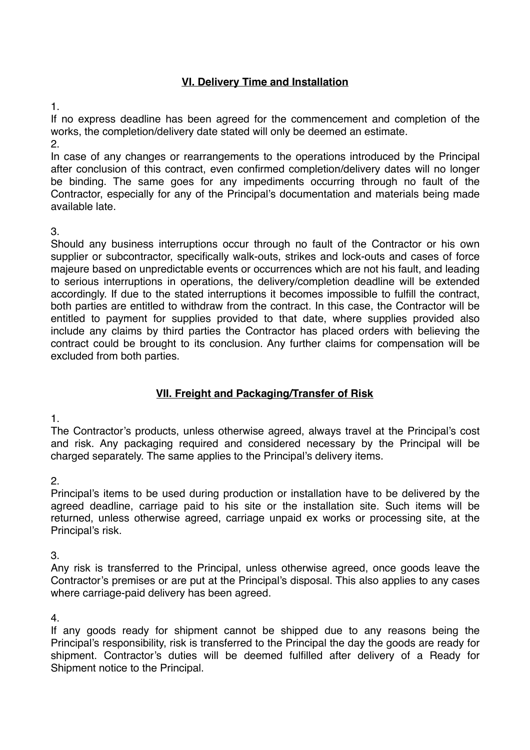## **VI. Delivery Time and Installation**

1.

If no express deadline has been agreed for the commencement and completion of the works, the completion/delivery date stated will only be deemed an estimate.

2.

In case of any changes or rearrangements to the operations introduced by the Principal after conclusion of this contract, even confirmed completion/delivery dates will no longer be binding. The same goes for any impediments occurring through no fault of the Contractor, especially for any of the Principal's documentation and materials being made available late.

3.

Should any business interruptions occur through no fault of the Contractor or his own supplier or subcontractor, specifically walk-outs, strikes and lock-outs and cases of force majeure based on unpredictable events or occurrences which are not his fault, and leading to serious interruptions in operations, the delivery/completion deadline will be extended accordingly. If due to the stated interruptions it becomes impossible to fulfill the contract, both parties are entitled to withdraw from the contract. In this case, the Contractor will be entitled to payment for supplies provided to that date, where supplies provided also include any claims by third parties the Contractor has placed orders with believing the contract could be brought to its conclusion. Any further claims for compensation will be excluded from both parties.

## **VII. Freight and Packaging/Transfer of Risk**

1.

The Contractor's products, unless otherwise agreed, always travel at the Principal's cost and risk. Any packaging required and considered necessary by the Principal will be charged separately. The same applies to the Principal's delivery items.

2.

Principal's items to be used during production or installation have to be delivered by the agreed deadline, carriage paid to his site or the installation site. Such items will be returned, unless otherwise agreed, carriage unpaid ex works or processing site, at the Principal's risk.

3.

Any risk is transferred to the Principal, unless otherwise agreed, once goods leave the Contractor's premises or are put at the Principal's disposal. This also applies to any cases where carriage-paid delivery has been agreed.

4.

If any goods ready for shipment cannot be shipped due to any reasons being the Principal's responsibility, risk is transferred to the Principal the day the goods are ready for shipment. Contractor's duties will be deemed fulfilled after delivery of a Ready for Shipment notice to the Principal.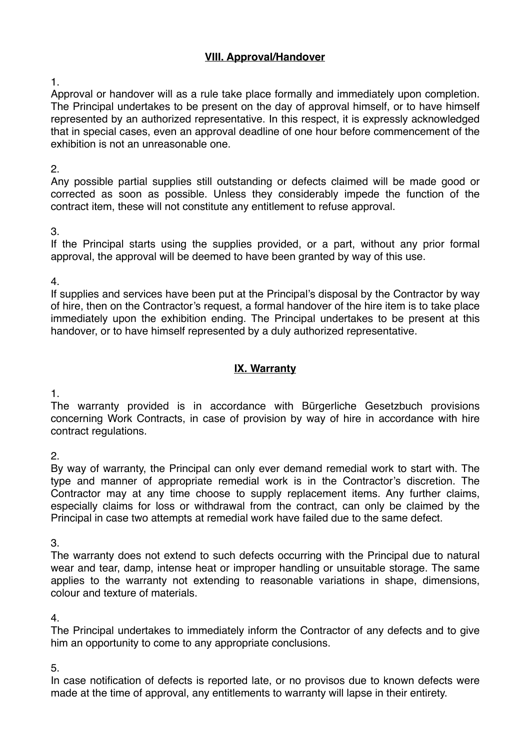## **VIII. Approval/Handover**

1.

Approval or handover will as a rule take place formally and immediately upon completion. The Principal undertakes to be present on the day of approval himself, or to have himself represented by an authorized representative. In this respect, it is expressly acknowledged that in special cases, even an approval deadline of one hour before commencement of the exhibition is not an unreasonable one.

#### 2.

Any possible partial supplies still outstanding or defects claimed will be made good or corrected as soon as possible. Unless they considerably impede the function of the contract item, these will not constitute any entitlement to refuse approval.

3.

If the Principal starts using the supplies provided, or a part, without any prior formal approval, the approval will be deemed to have been granted by way of this use.

4.

If supplies and services have been put at the Principal's disposal by the Contractor by way of hire, then on the Contractor's request, a formal handover of the hire item is to take place immediately upon the exhibition ending. The Principal undertakes to be present at this handover, or to have himself represented by a duly authorized representative.

## **IX. Warranty**

1.

The warranty provided is in accordance with Bürgerliche Gesetzbuch provisions concerning Work Contracts, in case of provision by way of hire in accordance with hire contract regulations.

2.

By way of warranty, the Principal can only ever demand remedial work to start with. The type and manner of appropriate remedial work is in the Contractor's discretion. The Contractor may at any time choose to supply replacement items. Any further claims, especially claims for loss or withdrawal from the contract, can only be claimed by the Principal in case two attempts at remedial work have failed due to the same defect.

3.

The warranty does not extend to such defects occurring with the Principal due to natural wear and tear, damp, intense heat or improper handling or unsuitable storage. The same applies to the warranty not extending to reasonable variations in shape, dimensions, colour and texture of materials.

4.

The Principal undertakes to immediately inform the Contractor of any defects and to give him an opportunity to come to any appropriate conclusions.

5.

In case notification of defects is reported late, or no provisos due to known defects were made at the time of approval, any entitlements to warranty will lapse in their entirety.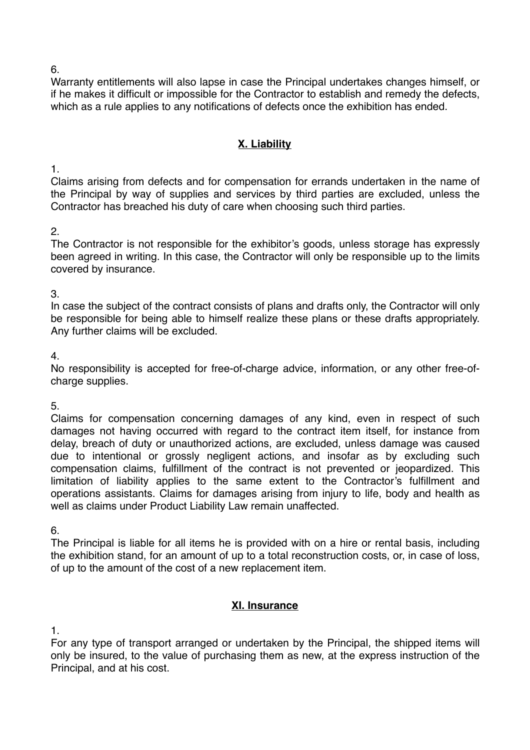6.

Warranty entitlements will also lapse in case the Principal undertakes changes himself, or if he makes it difficult or impossible for the Contractor to establish and remedy the defects, which as a rule applies to any notifications of defects once the exhibition has ended.

## **X. Liability**

1.

Claims arising from defects and for compensation for errands undertaken in the name of the Principal by way of supplies and services by third parties are excluded, unless the Contractor has breached his duty of care when choosing such third parties.

2.

The Contractor is not responsible for the exhibitor's goods, unless storage has expressly been agreed in writing. In this case, the Contractor will only be responsible up to the limits covered by insurance.

3.

In case the subject of the contract consists of plans and drafts only, the Contractor will only be responsible for being able to himself realize these plans or these drafts appropriately. Any further claims will be excluded.

4.

No responsibility is accepted for free-of-charge advice, information, or any other free-ofcharge supplies.

5.

Claims for compensation concerning damages of any kind, even in respect of such damages not having occurred with regard to the contract item itself, for instance from delay, breach of duty or unauthorized actions, are excluded, unless damage was caused due to intentional or grossly negligent actions, and insofar as by excluding such compensation claims, fulfillment of the contract is not prevented or jeopardized. This limitation of liability applies to the same extent to the Contractor's fulfillment and operations assistants. Claims for damages arising from injury to life, body and health as well as claims under Product Liability Law remain unaffected.

6.

The Principal is liable for all items he is provided with on a hire or rental basis, including the exhibition stand, for an amount of up to a total reconstruction costs, or, in case of loss, of up to the amount of the cost of a new replacement item.

## **XI. Insurance**

1.

For any type of transport arranged or undertaken by the Principal, the shipped items will only be insured, to the value of purchasing them as new, at the express instruction of the Principal, and at his cost.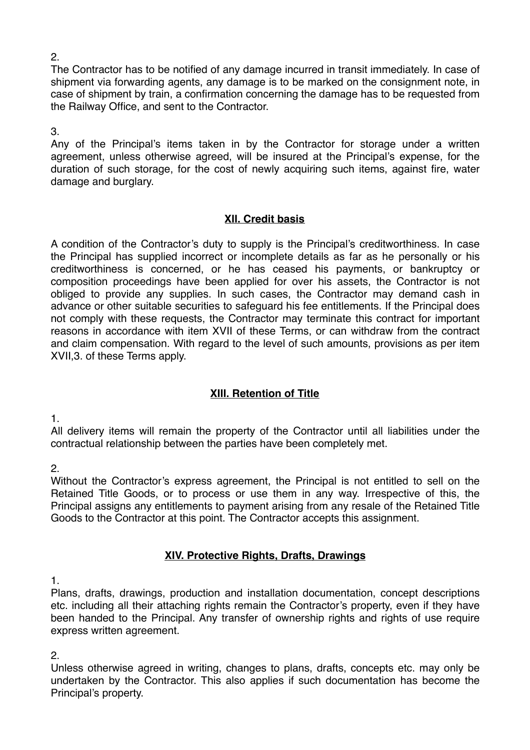The Contractor has to be notified of any damage incurred in transit immediately. In case of shipment via forwarding agents, any damage is to be marked on the consignment note, in case of shipment by train, a confirmation concerning the damage has to be requested from the Railway Office, and sent to the Contractor.

3.

Any of the Principal's items taken in by the Contractor for storage under a written agreement, unless otherwise agreed, will be insured at the Principal's expense, for the duration of such storage, for the cost of newly acquiring such items, against fire, water damage and burglary.

#### **XII. Credit basis**

A condition of the Contractor's duty to supply is the Principal's creditworthiness. In case the Principal has supplied incorrect or incomplete details as far as he personally or his creditworthiness is concerned, or he has ceased his payments, or bankruptcy or composition proceedings have been applied for over his assets, the Contractor is not obliged to provide any supplies. In such cases, the Contractor may demand cash in advance or other suitable securities to safeguard his fee entitlements. If the Principal does not comply with these requests, the Contractor may terminate this contract for important reasons in accordance with item XVII of these Terms, or can withdraw from the contract and claim compensation. With regard to the level of such amounts, provisions as per item XVII,3. of these Terms apply.

#### **XIII. Retention of Title**

1.

All delivery items will remain the property of the Contractor until all liabilities under the contractual relationship between the parties have been completely met.

2.

Without the Contractor's express agreement, the Principal is not entitled to sell on the Retained Title Goods, or to process or use them in any way. Irrespective of this, the Principal assigns any entitlements to payment arising from any resale of the Retained Title Goods to the Contractor at this point. The Contractor accepts this assignment.

#### **XIV. Protective Rights, Drafts, Drawings**

1.

Plans, drafts, drawings, production and installation documentation, concept descriptions etc. including all their attaching rights remain the Contractor's property, even if they have been handed to the Principal. Any transfer of ownership rights and rights of use require express written agreement.

2.

Unless otherwise agreed in writing, changes to plans, drafts, concepts etc. may only be undertaken by the Contractor. This also applies if such documentation has become the Principal's property.

2.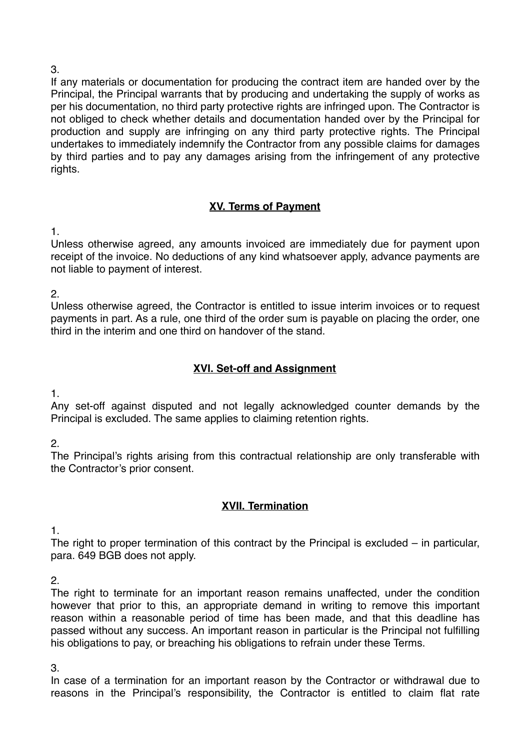#### 3.

If any materials or documentation for producing the contract item are handed over by the Principal, the Principal warrants that by producing and undertaking the supply of works as per his documentation, no third party protective rights are infringed upon. The Contractor is not obliged to check whether details and documentation handed over by the Principal for production and supply are infringing on any third party protective rights. The Principal undertakes to immediately indemnify the Contractor from any possible claims for damages by third parties and to pay any damages arising from the infringement of any protective rights.

## **XV. Terms of Payment**

1.

Unless otherwise agreed, any amounts invoiced are immediately due for payment upon receipt of the invoice. No deductions of any kind whatsoever apply, advance payments are not liable to payment of interest.

2.

Unless otherwise agreed, the Contractor is entitled to issue interim invoices or to request payments in part. As a rule, one third of the order sum is payable on placing the order, one third in the interim and one third on handover of the stand.

## **XVI. Set-off and Assignment**

1.

Any set-off against disputed and not legally acknowledged counter demands by the Principal is excluded. The same applies to claiming retention rights.

2.

The Principal's rights arising from this contractual relationship are only transferable with the Contractor's prior consent.

## **XVII. Termination**

1.

The right to proper termination of this contract by the Principal is excluded – in particular, para. 649 BGB does not apply.

2.

The right to terminate for an important reason remains unaffected, under the condition however that prior to this, an appropriate demand in writing to remove this important reason within a reasonable period of time has been made, and that this deadline has passed without any success. An important reason in particular is the Principal not fulfilling his obligations to pay, or breaching his obligations to refrain under these Terms.

3.

In case of a termination for an important reason by the Contractor or withdrawal due to reasons in the Principal's responsibility, the Contractor is entitled to claim flat rate